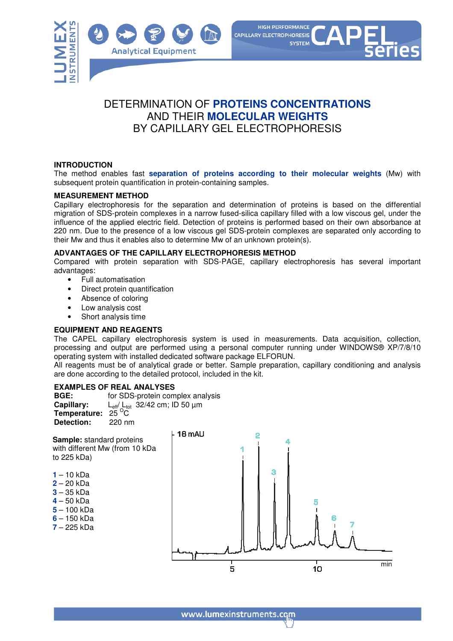



## DETERMINATION OF **PROTEINS CONCENTRATIONS** AND THEIR **MOLECULAR WEIGHTS** BY CAPILLARY GEL ELECTROPHORESIS

#### **INTRODUCTION**

The method enables fast **separation of proteins according to their molecular weights** (Mw) with subsequent protein quantification in protein-containing samples.

#### **MEASUREMENT METHOD**

Capillary electrophoresis for the separation and determination of proteins is based on the differential migration of SDS-protein complexes in a narrow fused-silica capillary filled with a low viscous gel, under the influence of the applied electric field. Detection of proteins is performed based on their own absorbance at 220 nm. Due to the presence of a low viscous gel SDS-protein complexes are separated only according to their Mw and thus it enables also to determine Mw of an unknown protein(s).

#### **ADVANTAGES OF THE CAPILLARY ELECTROPHORESIS METHOD**

Compared with protein separation with SDS-PAGE, capillary electrophoresis has several important advantages:

- Full automatisation
- Direct protein quantification
- Absence of coloring
- Low analysis cost
- Short analysis time

#### **EQUIPMENT AND REAGENTS**

The CAPEL capillary electrophoresis system is used in measurements. Data acquisition, collection, processing and output are performed using a personal computer running under WINDOWS® XP/7/8/10 operating system with installed dedicated software package ELFORUN.

All reagents must be of analytical grade or better. Sample preparation, capillary conditioning and analysis are done according to the detailed protocol, included in the kit.

# **EXAMPLES OF REAL ANALYSES**

for SDS-protein complex analysis **Capillary:** L<sub>eff</sub>/ L<sub>tot</sub> 32/42 cm; ID 50 μm<br>**Temperature:** 25 <sup>O</sup>C **Detection:** 220 nm

**Sample:** standard proteins with different Mw (from 10 kDa to 225 kDa)

- **1**  10 kDa
- **2**  20 kDa
- **3**  35 kDa
- **4**  50 kDa
- **5**  100 kDa
- **6**  150 kDa
- **7**  225 kDa